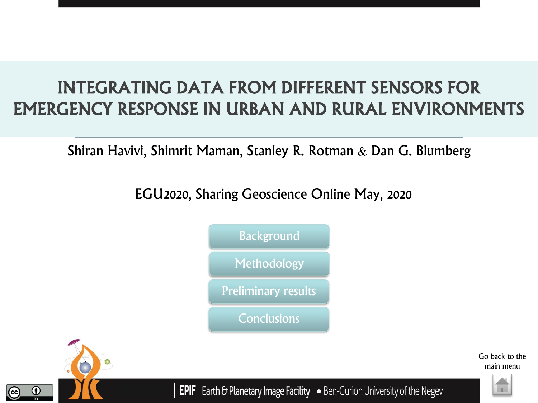# INTEGRATING DATA FROM DIFFERENT SENSORS FOR EMERGENCY RESPONSE IN URBAN AND RURAL ENVIRONMENTS

## Shiran Havivi, Shimrit Maman, Stanley R. Rotman & Dan G. Blumberg

EGU2020, Sharing Geoscience Online May, 2020





Go back to the main menu



**EPIF** Earth & Planetary Image Facility . Ben-Gurion University of the Negev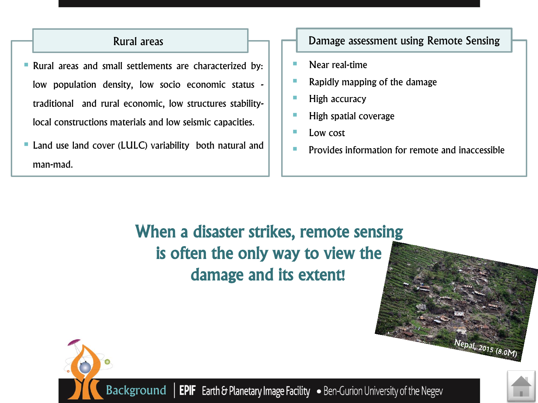### Rural areas

- <span id="page-1-0"></span>**• Rural areas and small settlements are characterized by:** low population density, low socio economic status traditional and rural economic, low structures stabilitylocal constructions materials and low seismic capacities.
- Land use land cover (LULC) variability both natural and man-mad.

#### Damage assessment using Remote Sensing

- Near real-time
- Rapidly mapping of the damage
- High accuracy
- High spatial coverage
- Low cost
- Provides information for remote and inaccessible

When a disaster strikes, remote sensing is often the only way to view the damage and its extent!





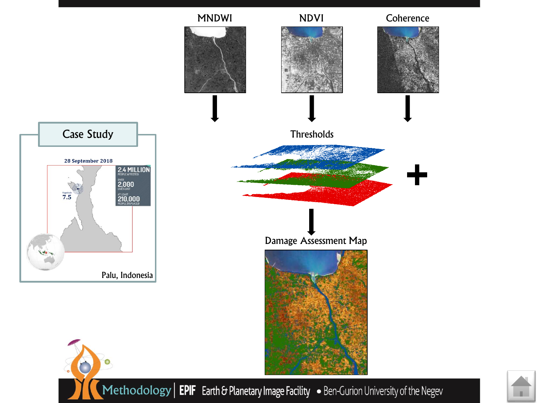<span id="page-2-0"></span>

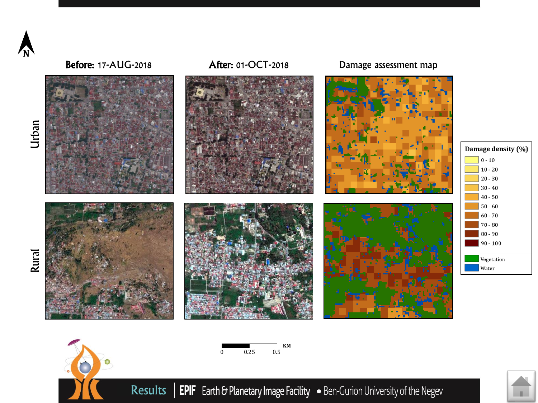<span id="page-3-0"></span>

Urban

Rural

Before: 17-AUG-2018 After: 01-OCT-2018 Damage assessment map









Results | EPIF Earth & Planetary Image Facility • Ben-Gurion University of the Negev